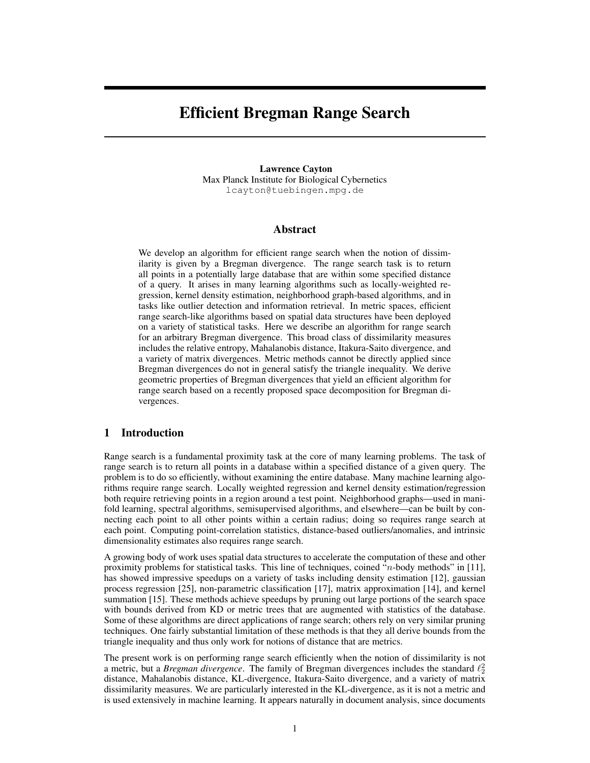# Efficient Bregman Range Search

Lawrence Cayton Max Planck Institute for Biological Cybernetics lcayton@tuebingen.mpg.de

## Abstract

We develop an algorithm for efficient range search when the notion of dissimilarity is given by a Bregman divergence. The range search task is to return all points in a potentially large database that are within some specified distance of a query. It arises in many learning algorithms such as locally-weighted regression, kernel density estimation, neighborhood graph-based algorithms, and in tasks like outlier detection and information retrieval. In metric spaces, efficient range search-like algorithms based on spatial data structures have been deployed on a variety of statistical tasks. Here we describe an algorithm for range search for an arbitrary Bregman divergence. This broad class of dissimilarity measures includes the relative entropy, Mahalanobis distance, Itakura-Saito divergence, and a variety of matrix divergences. Metric methods cannot be directly applied since Bregman divergences do not in general satisfy the triangle inequality. We derive geometric properties of Bregman divergences that yield an efficient algorithm for range search based on a recently proposed space decomposition for Bregman divergences.

## 1 Introduction

Range search is a fundamental proximity task at the core of many learning problems. The task of range search is to return all points in a database within a specified distance of a given query. The problem is to do so efficiently, without examining the entire database. Many machine learning algorithms require range search. Locally weighted regression and kernel density estimation/regression both require retrieving points in a region around a test point. Neighborhood graphs—used in manifold learning, spectral algorithms, semisupervised algorithms, and elsewhere—can be built by connecting each point to all other points within a certain radius; doing so requires range search at each point. Computing point-correlation statistics, distance-based outliers/anomalies, and intrinsic dimensionality estimates also requires range search.

A growing body of work uses spatial data structures to accelerate the computation of these and other proximity problems for statistical tasks. This line of techniques, coined "n-body methods" in [11], has showed impressive speedups on a variety of tasks including density estimation [12], gaussian process regression [25], non-parametric classification [17], matrix approximation [14], and kernel summation [15]. These methods achieve speedups by pruning out large portions of the search space with bounds derived from KD or metric trees that are augmented with statistics of the database. Some of these algorithms are direct applications of range search; others rely on very similar pruning techniques. One fairly substantial limitation of these methods is that they all derive bounds from the triangle inequality and thus only work for notions of distance that are metrics.

The present work is on performing range search efficiently when the notion of dissimilarity is not a metric, but a *Bregman divergence*. The family of Bregman divergences includes the standard  $\ell_2^2$ distance, Mahalanobis distance, KL-divergence, Itakura-Saito divergence, and a variety of matrix dissimilarity measures. We are particularly interested in the KL-divergence, as it is not a metric and is used extensively in machine learning. It appears naturally in document analysis, since documents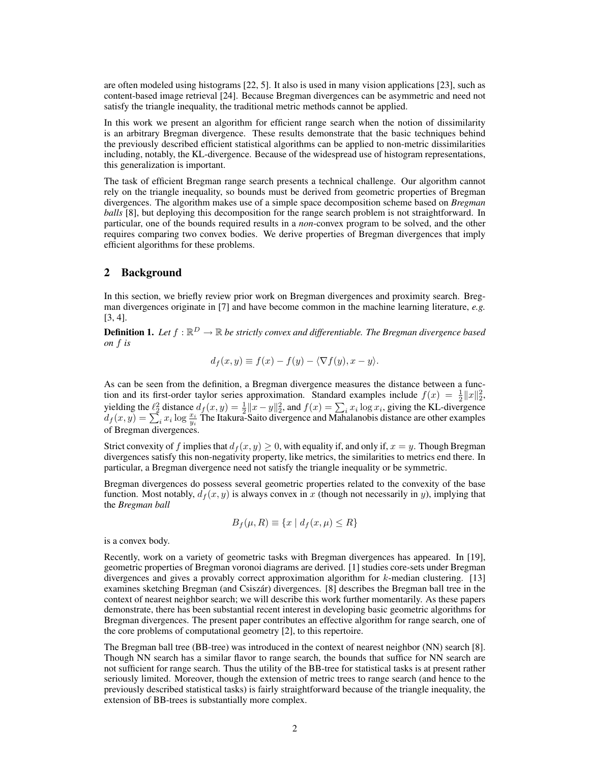are often modeled using histograms [22, 5]. It also is used in many vision applications [23], such as content-based image retrieval [24]. Because Bregman divergences can be asymmetric and need not satisfy the triangle inequality, the traditional metric methods cannot be applied.

In this work we present an algorithm for efficient range search when the notion of dissimilarity is an arbitrary Bregman divergence. These results demonstrate that the basic techniques behind the previously described efficient statistical algorithms can be applied to non-metric dissimilarities including, notably, the KL-divergence. Because of the widespread use of histogram representations, this generalization is important.

The task of efficient Bregman range search presents a technical challenge. Our algorithm cannot rely on the triangle inequality, so bounds must be derived from geometric properties of Bregman divergences. The algorithm makes use of a simple space decomposition scheme based on *Bregman balls* [8], but deploying this decomposition for the range search problem is not straightforward. In particular, one of the bounds required results in a *non*-convex program to be solved, and the other requires comparing two convex bodies. We derive properties of Bregman divergences that imply efficient algorithms for these problems.

# 2 Background

In this section, we briefly review prior work on Bregman divergences and proximity search. Bregman divergences originate in [7] and have become common in the machine learning literature, *e.g.* [3, 4].

**Definition 1.** Let  $f : \mathbb{R}^D \to \mathbb{R}$  be strictly convex and differentiable. The Bregman divergence based *on* f *is*

$$
d_f(x, y) \equiv f(x) - f(y) - \langle \nabla f(y), x - y \rangle.
$$

As can be seen from the definition, a Bregman divergence measures the distance between a function and its first-order taylor series approximation. Standard examples include  $f(x) = \frac{1}{2} ||x||_2^2$ , yielding the  $\ell_2^2$  distance  $d_f(x, y) = \frac{1}{2} ||x - y||_2^2$ , and  $f(x) = \sum_i x_i \log x_i$ , giving the KL-divergence  $d_f(x,y) = \sum_i^x x_i \log \frac{x_i}{y_i}$  The Itakura-Saito divergence and Mahalanobis distance are other examples of Bregman divergences.

Strict convexity of f implies that  $d_f(x, y) \ge 0$ , with equality if, and only if,  $x = y$ . Though Bregman divergences satisfy this non-negativity property, like metrics, the similarities to metrics end there. In particular, a Bregman divergence need not satisfy the triangle inequality or be symmetric.

Bregman divergences do possess several geometric properties related to the convexity of the base function. Most notably,  $d_f(x, y)$  is always convex in x (though not necessarily in y), implying that the *Bregman ball*

$$
B_f(\mu, R) \equiv \{x \mid d_f(x, \mu) \le R\}
$$

is a convex body.

Recently, work on a variety of geometric tasks with Bregman divergences has appeared. In [19], geometric properties of Bregman voronoi diagrams are derived. [1] studies core-sets under Bregman divergences and gives a provably correct approximation algorithm for  $k$ -median clustering. [13] examines sketching Bregman (and Csiszár) divergences. [8] describes the Bregman ball tree in the context of nearest neighbor search; we will describe this work further momentarily. As these papers demonstrate, there has been substantial recent interest in developing basic geometric algorithms for Bregman divergences. The present paper contributes an effective algorithm for range search, one of the core problems of computational geometry [2], to this repertoire.

The Bregman ball tree (BB-tree) was introduced in the context of nearest neighbor (NN) search [8]. Though NN search has a similar flavor to range search, the bounds that suffice for NN search are not sufficient for range search. Thus the utility of the BB-tree for statistical tasks is at present rather seriously limited. Moreover, though the extension of metric trees to range search (and hence to the previously described statistical tasks) is fairly straightforward because of the triangle inequality, the extension of BB-trees is substantially more complex.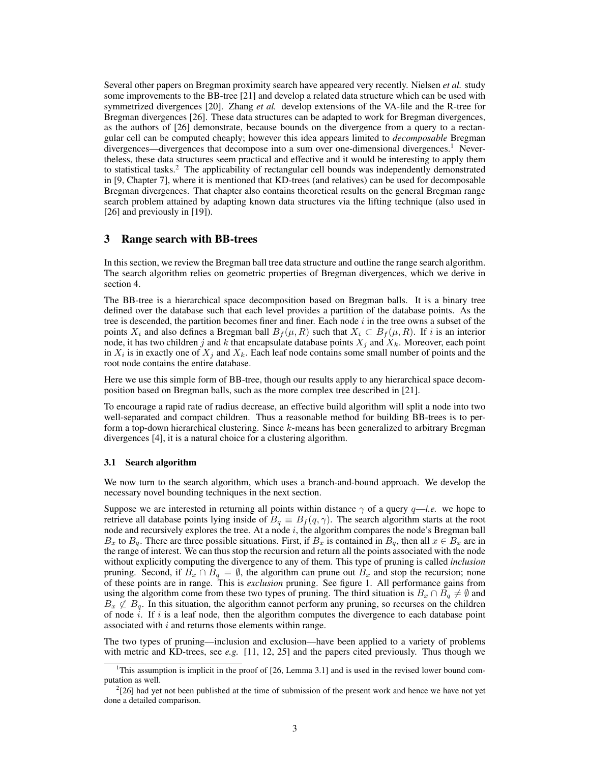Several other papers on Bregman proximity search have appeared very recently. Nielsen *et al.* study some improvements to the BB-tree [21] and develop a related data structure which can be used with symmetrized divergences [20]. Zhang *et al.* develop extensions of the VA-file and the R-tree for Bregman divergences [26]. These data structures can be adapted to work for Bregman divergences, as the authors of [26] demonstrate, because bounds on the divergence from a query to a rectangular cell can be computed cheaply; however this idea appears limited to *decomposable* Bregman divergences—divergences that decompose into a sum over one-dimensional divergences.<sup>1</sup> Nevertheless, these data structures seem practical and effective and it would be interesting to apply them to statistical tasks.<sup>2</sup> The applicability of rectangular cell bounds was independently demonstrated in [9, Chapter 7], where it is mentioned that KD-trees (and relatives) can be used for decomposable Bregman divergences. That chapter also contains theoretical results on the general Bregman range search problem attained by adapting known data structures via the lifting technique (also used in [26] and previously in [19]).

# 3 Range search with BB-trees

In this section, we review the Bregman ball tree data structure and outline the range search algorithm. The search algorithm relies on geometric properties of Bregman divergences, which we derive in section 4.

The BB-tree is a hierarchical space decomposition based on Bregman balls. It is a binary tree defined over the database such that each level provides a partition of the database points. As the tree is descended, the partition becomes finer and finer. Each node  $i$  in the tree owns a subset of the points  $X_i$  and also defines a Bregman ball  $B_f(\mu, R)$  such that  $X_i \subset B_f(\mu, R)$ . If i is an interior node, it has two children j and k that encapsulate database points  $X_i$  and  $X_k$ . Moreover, each point in  $X_i$  is in exactly one of  $X_j$  and  $X_k$ . Each leaf node contains some small number of points and the root node contains the entire database.

Here we use this simple form of BB-tree, though our results apply to any hierarchical space decomposition based on Bregman balls, such as the more complex tree described in [21].

To encourage a rapid rate of radius decrease, an effective build algorithm will split a node into two well-separated and compact children. Thus a reasonable method for building BB-trees is to perform a top-down hierarchical clustering. Since  $k$ -means has been generalized to arbitrary Bregman divergences [4], it is a natural choice for a clustering algorithm.

#### 3.1 Search algorithm

We now turn to the search algorithm, which uses a branch-and-bound approach. We develop the necessary novel bounding techniques in the next section.

Suppose we are interested in returning all points within distance  $\gamma$  of a query  $q$ —*i.e.* we hope to retrieve all database points lying inside of  $B_q \equiv B_f(q, \gamma)$ . The search algorithm starts at the root node and recursively explores the tree. At a node  $i$ , the algorithm compares the node's Bregman ball  $B_x$  to  $B_q$ . There are three possible situations. First, if  $B_x$  is contained in  $B_q$ , then all  $x \in B_x$  are in the range of interest. We can thus stop the recursion and return all the points associated with the node without explicitly computing the divergence to any of them. This type of pruning is called *inclusion* pruning. Second, if  $B_x \cap B_q = \emptyset$ , the algorithm can prune out  $B_x$  and stop the recursion; none of these points are in range. This is *exclusion* pruning. See figure 1. All performance gains from using the algorithm come from these two types of pruning. The third situation is  $B_x \cap B_q \neq \emptyset$  and  $B_x \not\subset B_q$ . In this situation, the algorithm cannot perform any pruning, so recurses on the children of node  $\hat{i}$ . If  $i$  is a leaf node, then the algorithm computes the divergence to each database point associated with  $i$  and returns those elements within range.

The two types of pruning—inclusion and exclusion—have been applied to a variety of problems with metric and KD-trees, see *e.g.* [11, 12, 25] and the papers cited previously. Thus though we

<sup>1</sup>This assumption is implicit in the proof of [26, Lemma 3.1] and is used in the revised lower bound computation as well.

 $2$ [26] had yet not been published at the time of submission of the present work and hence we have not yet done a detailed comparison.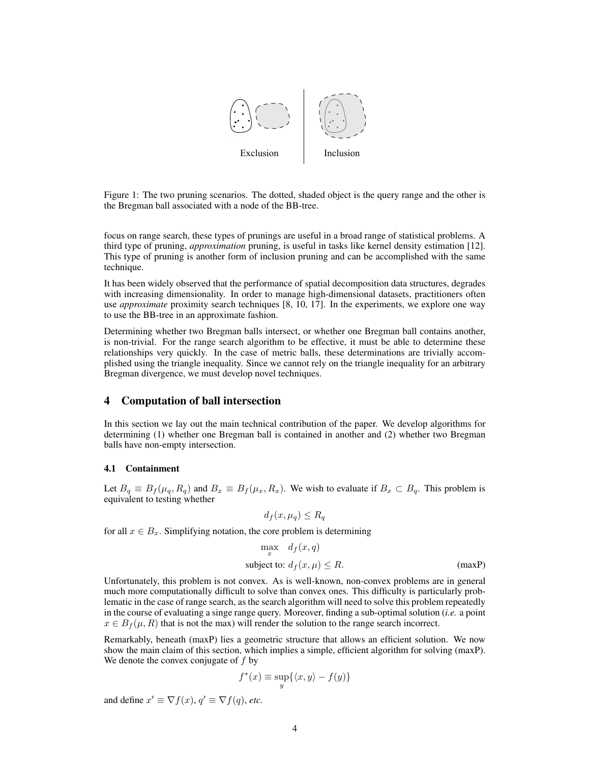

Figure 1: The two pruning scenarios. The dotted, shaded object is the query range and the other is the Bregman ball associated with a node of the BB-tree.

focus on range search, these types of prunings are useful in a broad range of statistical problems. A third type of pruning, *approximation* pruning, is useful in tasks like kernel density estimation [12]. This type of pruning is another form of inclusion pruning and can be accomplished with the same technique.

It has been widely observed that the performance of spatial decomposition data structures, degrades with increasing dimensionality. In order to manage high-dimensional datasets, practitioners often use *approximate* proximity search techniques [8, 10, 17]. In the experiments, we explore one way to use the BB-tree in an approximate fashion.

Determining whether two Bregman balls intersect, or whether one Bregman ball contains another, is non-trivial. For the range search algorithm to be effective, it must be able to determine these relationships very quickly. In the case of metric balls, these determinations are trivially accomplished using the triangle inequality. Since we cannot rely on the triangle inequality for an arbitrary Bregman divergence, we must develop novel techniques.

## 4 Computation of ball intersection

In this section we lay out the main technical contribution of the paper. We develop algorithms for determining (1) whether one Bregman ball is contained in another and (2) whether two Bregman balls have non-empty intersection.

#### 4.1 Containment

Let  $B_q \equiv B_f(\mu_q, R_q)$  and  $B_x \equiv B_f(\mu_x, R_x)$ . We wish to evaluate if  $B_x \subset B_q$ . This problem is equivalent to testing whether

$$
d_f(x, \mu_q) \le R_q
$$

for all  $x \in B<sub>x</sub>$ . Simplifying notation, the core problem is determining

$$
\max_{x} d_f(x, q)
$$
  
subject to:  $d_f(x, \mu) \le R$ . (maxP)

Unfortunately, this problem is not convex. As is well-known, non-convex problems are in general much more computationally difficult to solve than convex ones. This difficulty is particularly problematic in the case of range search, as the search algorithm will need to solve this problem repeatedly in the course of evaluating a singe range query. Moreover, finding a sub-optimal solution (*i.e.* a point  $x \in B_f(\mu, R)$  that is not the max) will render the solution to the range search incorrect.

Remarkably, beneath (maxP) lies a geometric structure that allows an efficient solution. We now show the main claim of this section, which implies a simple, efficient algorithm for solving (maxP). We denote the convex conjugate of  $f$  by

$$
f^*(x) \equiv \sup_y \{ \langle x, y \rangle - f(y) \}
$$

and define  $x' \equiv \nabla f(x)$ ,  $q' \equiv \nabla f(q)$ , *etc.*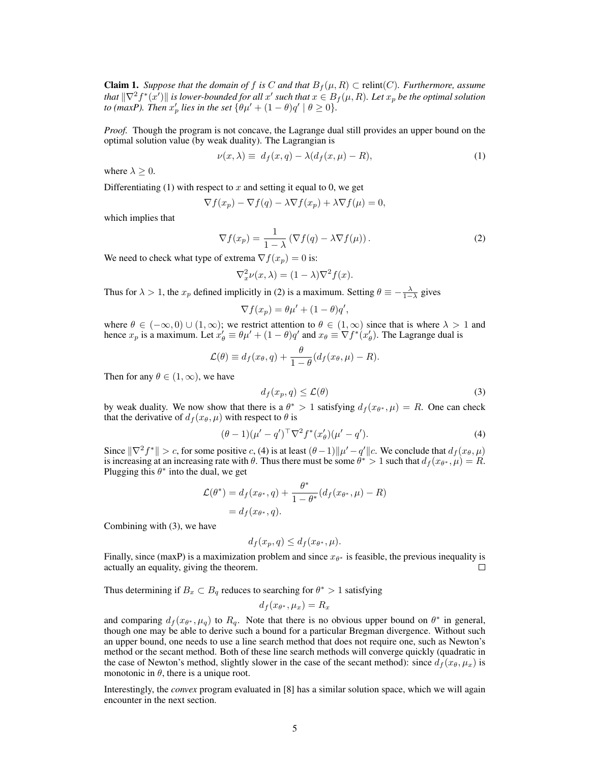**Claim 1.** Suppose that the domain of f is C and that  $B_f(\mu, R) \subset$  relint(C). Furthermore, assume *that*  $\|\nabla^2 f^*(x')\|$  *is lower-bounded for all*  $x'$  *such that*  $x \in B_f(\mu, R)$ *. Let*  $x_p$  *be the optimal solution to* (maxP). Then  $x'_p$  lies in the set  $\{\theta\mu' + (1-\theta)q' \mid \theta \ge 0\}$ .

*Proof.* Though the program is not concave, the Lagrange dual still provides an upper bound on the optimal solution value (by weak duality). The Lagrangian is

$$
\nu(x,\lambda) \equiv d_f(x,q) - \lambda(d_f(x,\mu) - R), \tag{1}
$$

where  $\lambda > 0$ .

Differentiating (1) with respect to x and setting it equal to 0, we get

$$
\nabla f(x_p) - \nabla f(q) - \lambda \nabla f(x_p) + \lambda \nabla f(\mu) = 0,
$$

which implies that

$$
\nabla f(x_p) = \frac{1}{1 - \lambda} \left( \nabla f(q) - \lambda \nabla f(\mu) \right). \tag{2}
$$

We need to check what type of extrema  $\nabla f(x_p) = 0$  is:

$$
\nabla_x^2 \nu(x,\lambda) = (1-\lambda)\nabla^2 f(x).
$$

Thus for  $\lambda > 1$ , the  $x_p$  defined implicitly in (2) is a maximum. Setting  $\theta \equiv -\frac{\lambda}{1-\lambda}$  gives

$$
\nabla f(x_p) = \theta \mu' + (1 - \theta) q',
$$

where  $\theta \in (-\infty, 0) \cup (1, \infty)$ ; we restrict attention to  $\theta \in (1, \infty)$  since that is where  $\lambda > 1$  and hence  $x_p$  is a maximum. Let  $x'_\theta \equiv \theta \mu' + (1 - \theta) q'$  and  $x_\theta \equiv \nabla f^*(x'_\theta)$ . The Lagrange dual is

$$
\mathcal{L}(\theta) \equiv d_f(x_\theta, q) + \frac{\theta}{1 - \theta}(d_f(x_\theta, \mu) - R).
$$

Then for any  $\theta \in (1, \infty)$ , we have

$$
d_f(x_p, q) \le \mathcal{L}(\theta) \tag{3}
$$

by weak duality. We now show that there is a  $\theta^* > 1$  satisfying  $d_f(x_{\theta^*}, \mu) = R$ . One can check that the derivative of  $d_f(x_\theta, \mu)$  with respect to  $\theta$  is

$$
(\theta - 1)(\mu' - q')^{\top} \nabla^2 f^*(x'_{\theta})(\mu' - q'). \tag{4}
$$

Since  $\|\nabla^2 f^*\| > c$ , for some positive c, (4) is at least  $(\theta - 1) \|\mu' - q'\| c$ . We conclude that  $d_f(x_\theta, \mu)$ is increasing at an increasing rate with  $\theta$ . Thus there must be some  $\theta^* > 1$  such that  $d_f(x_{\theta^*}, \mu) = R$ . Plugging this  $\theta^*$  into the dual, we get

$$
\mathcal{L}(\theta^*) = d_f(x_{\theta^*}, q) + \frac{\theta^*}{1 - \theta^*} (d_f(x_{\theta^*}, \mu) - R)
$$

$$
= d_f(x_{\theta^*}, q).
$$

Combining with (3), we have

$$
d_f(x_p, q) \le d_f(x_{\theta^*}, \mu).
$$

Finally, since (maxP) is a maximization problem and since  $x_{\theta^*}$  is feasible, the previous inequality is actually an equality, giving the theorem.  $\Box$ 

Thus determining if  $B_x \subset B_q$  reduces to searching for  $\theta^* > 1$  satisfying

$$
d_f(x_{\theta^*}, \mu_x) = R_x
$$

and comparing  $d_f(x_{\theta^*}, \mu_q)$  to  $R_q$ . Note that there is no obvious upper bound on  $\theta^*$  in general, though one may be able to derive such a bound for a particular Bregman divergence. Without such an upper bound, one needs to use a line search method that does not require one, such as Newton's method or the secant method. Both of these line search methods will converge quickly (quadratic in the case of Newton's method, slightly slower in the case of the secant method): since  $d_f(x_\theta, \mu_x)$  is monotonic in  $\theta$ , there is a unique root.

Interestingly, the *convex* program evaluated in [8] has a similar solution space, which we will again encounter in the next section.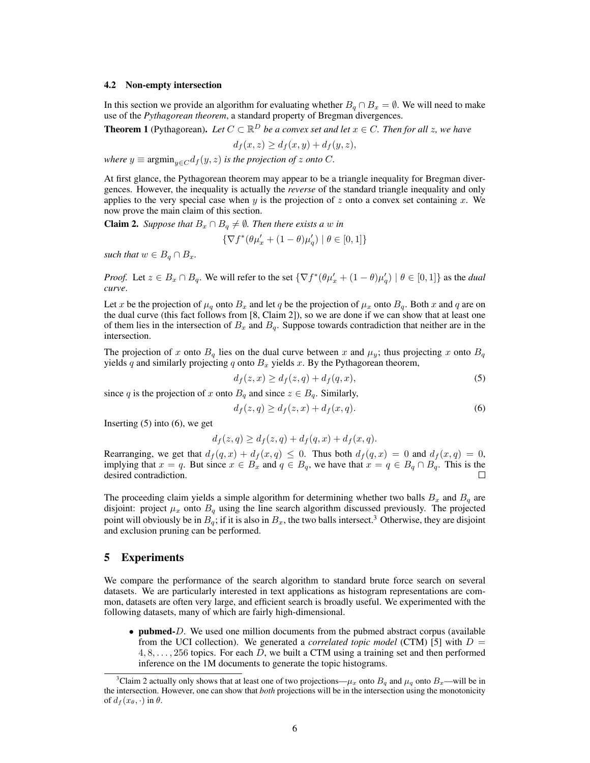#### 4.2 Non-empty intersection

In this section we provide an algorithm for evaluating whether  $B_q \cap B_x = \emptyset$ . We will need to make use of the *Pythagorean theorem*, a standard property of Bregman divergences.

**Theorem 1** (Pythagorean). Let  $C \subset \mathbb{R}^D$  be a convex set and let  $x \in C$ . Then for all z, we have

$$
d_f(x, z) \ge d_f(x, y) + d_f(y, z),
$$

*where*  $y \equiv \operatorname{argmin}_{y \in C} d_f(y, z)$  *is the projection of z onto C*.

At first glance, the Pythagorean theorem may appear to be a triangle inequality for Bregman divergences. However, the inequality is actually the *reverse* of the standard triangle inequality and only applies to the very special case when y is the projection of z onto a convex set containing x. We now prove the main claim of this section.

**Claim 2.** *Suppose that*  $B_x \cap B_q \neq \emptyset$ *. Then there exists a* w *in* 

$$
\{\nabla f^*(\theta \mu_x' + (1-\theta)\mu_q') \mid \theta \in [0,1]\}
$$

*such that*  $w \in B_q \cap B_x$ .

*Proof.* Let  $z \in B_x \cap B_q$ . We will refer to the set  $\{\nabla f^*(\theta \mu_x' + (1 - \theta)\mu_q') \mid \theta \in [0, 1]\}$  as the *dual curve*.

Let x be the projection of  $\mu_q$  onto  $B_x$  and let q be the projection of  $\mu_x$  onto  $B_q$ . Both x and q are on the dual curve (this fact follows from [8, Claim 2]), so we are done if we can show that at least one of them lies in the intersection of  $B_x$  and  $B_q$ . Suppose towards contradiction that neither are in the intersection.

The projection of x onto  $B_q$  lies on the dual curve between x and  $\mu_y$ ; thus projecting x onto  $B_q$ yields q and similarly projecting q onto  $B_x$  yields x. By the Pythagorean theorem,

 $d_f(z, x) \geq d_f(z, q) + d_f(q, x),$  (5)

since q is the projection of x onto  $B_q$  and since  $z \in B_q$ . Similarly,

$$
d_f(z,q) \ge d_f(z,x) + d_f(x,q). \tag{6}
$$

Inserting  $(5)$  into  $(6)$ , we get

$$
d_f(z,q) \ge d_f(z,q) + d_f(q,x) + d_f(x,q).
$$

Rearranging, we get that  $d_f(q, x) + d_f(x, q) \leq 0$ . Thus both  $d_f(q, x) = 0$  and  $d_f(x, q) = 0$ , implying that  $x = q$ . But since  $x \in B_x$  and  $q \in B_q$ , we have that  $x = q \in B_q \cap B_q$ . This is the desired contradiction.

The proceeding claim yields a simple algorithm for determining whether two balls  $B_x$  and  $B_q$  are disjoint: project  $\mu_x$  onto  $B_q$  using the line search algorithm discussed previously. The projected point will obviously be in  $B_q$ ; if it is also in  $B_x$ , the two balls intersect.<sup>3</sup> Otherwise, they are disjoint and exclusion pruning can be performed.

## 5 Experiments

We compare the performance of the search algorithm to standard brute force search on several datasets. We are particularly interested in text applications as histogram representations are common, datasets are often very large, and efficient search is broadly useful. We experimented with the following datasets, many of which are fairly high-dimensional.

• **pubmed**-D. We used one million documents from the pubmed abstract corpus (available from the UCI collection). We generated a *correlated topic model* (CTM) [5] with  $D =$  $4, 8, \ldots, 256$  topics. For each D, we built a CTM using a training set and then performed inference on the 1M documents to generate the topic histograms.

<sup>&</sup>lt;sup>3</sup>Claim 2 actually only shows that at least one of two projections— $\mu_x$  onto  $B_q$  and  $\mu_q$  onto  $B_x$ —will be in the intersection. However, one can show that *both* projections will be in the intersection using the monotonicity of  $d_f(x_\theta, \cdot)$  in  $\theta$ .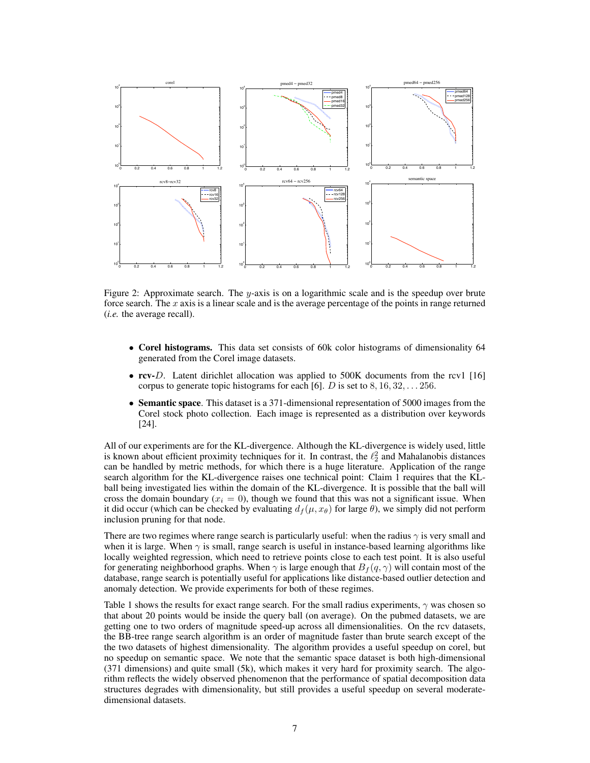

Figure 2: Approximate search. The y-axis is on a logarithmic scale and is the speedup over brute force search. The  $x$  axis is a linear scale and is the average percentage of the points in range returned (*i.e.* the average recall).

- Corel histograms. This data set consists of 60k color histograms of dimensionality 64 generated from the Corel image datasets.
- rcv-D. Latent dirichlet allocation was applied to 500K documents from the rcv1 [16] corpus to generate topic histograms for each [6]. D is set to  $8, 16, 32, \ldots 256$ .
- Semantic space. This dataset is a 371-dimensional representation of 5000 images from the Corel stock photo collection. Each image is represented as a distribution over keywords [24].

All of our experiments are for the KL-divergence. Although the KL-divergence is widely used, little is known about efficient proximity techniques for it. In contrast, the  $\ell_2^2$  and Mahalanobis distances can be handled by metric methods, for which there is a huge literature. Application of the range search algorithm for the KL-divergence raises one technical point: Claim 1 requires that the KLball being investigated lies within the domain of the KL-divergence. It is possible that the ball will cross the domain boundary ( $x_i = 0$ ), though we found that this was not a significant issue. When it did occur (which can be checked by evaluating  $d_f(\mu, x_\theta)$  for large  $\theta$ ), we simply did not perform inclusion pruning for that node.

There are two regimes where range search is particularly useful: when the radius  $\gamma$  is very small and when it is large. When  $\gamma$  is small, range search is useful in instance-based learning algorithms like locally weighted regression, which need to retrieve points close to each test point. It is also useful for generating neighborhood graphs. When  $\gamma$  is large enough that  $B_f(q, \gamma)$  will contain most of the database, range search is potentially useful for applications like distance-based outlier detection and anomaly detection. We provide experiments for both of these regimes.

Table 1 shows the results for exact range search. For the small radius experiments,  $\gamma$  was chosen so that about 20 points would be inside the query ball (on average). On the pubmed datasets, we are getting one to two orders of magnitude speed-up across all dimensionalities. On the rcv datasets, the BB-tree range search algorithm is an order of magnitude faster than brute search except of the the two datasets of highest dimensionality. The algorithm provides a useful speedup on corel, but no speedup on semantic space. We note that the semantic space dataset is both high-dimensional (371 dimensions) and quite small (5k), which makes it very hard for proximity search. The algorithm reflects the widely observed phenomenon that the performance of spatial decomposition data structures degrades with dimensionality, but still provides a useful speedup on several moderatedimensional datasets.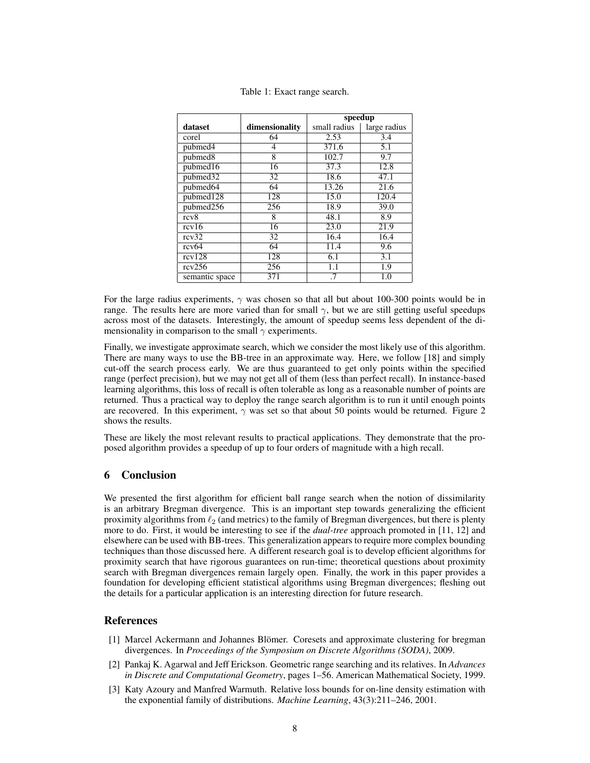|                |                | speedup      |                  |
|----------------|----------------|--------------|------------------|
| dataset        | dimensionality | small radius | large radius     |
| corel          | 64             | 2.53         | 3.4              |
| pubmed4        | 4              | 371.6        | $\overline{5.1}$ |
| pubmed8        | 8              | 102.7        | 9.7              |
| pubmed16       | 16             | 37.3         | 12.8             |
| pubmed32       | 32             | 18.6         | 47.1             |
| pubmed64       | 64             | 13.26        | 21.6             |
| pubmed128      | 128            | 15.0         | 120.4            |
| pubmed256      | 256            | 18.9         | 39.0             |
| rcv8           | 8              | 48.1         | 8.9              |
| rcv16          | 16             | 23.0         | 21.9             |
| rcv32          | 32             | 16.4         | 16.4             |
| rcv64          | 64             | 11.4         | 9.6              |
| rcv128         | 128            | 6.1          | 3.1              |
| rcv256         | 256            | 1.1          | 1.9              |
| semantic space | 371            | .7           | 1.0              |

Table 1: Exact range search.

For the large radius experiments,  $\gamma$  was chosen so that all but about 100-300 points would be in range. The results here are more varied than for small  $\gamma$ , but we are still getting useful speedups across most of the datasets. Interestingly, the amount of speedup seems less dependent of the dimensionality in comparison to the small  $\gamma$  experiments.

Finally, we investigate approximate search, which we consider the most likely use of this algorithm. There are many ways to use the BB-tree in an approximate way. Here, we follow [18] and simply cut-off the search process early. We are thus guaranteed to get only points within the specified range (perfect precision), but we may not get all of them (less than perfect recall). In instance-based learning algorithms, this loss of recall is often tolerable as long as a reasonable number of points are returned. Thus a practical way to deploy the range search algorithm is to run it until enough points are recovered. In this experiment,  $\gamma$  was set so that about 50 points would be returned. Figure 2 shows the results.

These are likely the most relevant results to practical applications. They demonstrate that the proposed algorithm provides a speedup of up to four orders of magnitude with a high recall.

# 6 Conclusion

We presented the first algorithm for efficient ball range search when the notion of dissimilarity is an arbitrary Bregman divergence. This is an important step towards generalizing the efficient proximity algorithms from  $\ell_2$  (and metrics) to the family of Bregman divergences, but there is plenty more to do. First, it would be interesting to see if the *dual-tree* approach promoted in [11, 12] and elsewhere can be used with BB-trees. This generalization appears to require more complex bounding techniques than those discussed here. A different research goal is to develop efficient algorithms for proximity search that have rigorous guarantees on run-time; theoretical questions about proximity search with Bregman divergences remain largely open. Finally, the work in this paper provides a foundation for developing efficient statistical algorithms using Bregman divergences; fleshing out the details for a particular application is an interesting direction for future research.

## References

- [1] Marcel Ackermann and Johannes Blömer. Coresets and approximate clustering for bregman divergences. In *Proceedings of the Symposium on Discrete Algorithms (SODA)*, 2009.
- [2] Pankaj K. Agarwal and Jeff Erickson. Geometric range searching and its relatives. In *Advances in Discrete and Computational Geometry*, pages 1–56. American Mathematical Society, 1999.
- [3] Katy Azoury and Manfred Warmuth. Relative loss bounds for on-line density estimation with the exponential family of distributions. *Machine Learning*, 43(3):211–246, 2001.